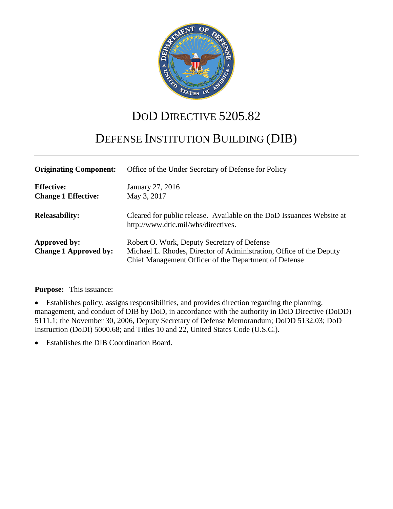

# DOD DIRECTIVE 5205.82

# DEFENSE INSTITUTION BUILDING (DIB)

| <b>Originating Component:</b>                   | Office of the Under Secretary of Defense for Policy                                                                                                                         |
|-------------------------------------------------|-----------------------------------------------------------------------------------------------------------------------------------------------------------------------------|
| <b>Effective:</b><br><b>Change 1 Effective:</b> | January 27, 2016<br>May 3, 2017                                                                                                                                             |
| <b>Releasability:</b>                           | Cleared for public release. Available on the DoD Issuances Website at<br>http://www.dtic.mil/whs/directives.                                                                |
| Approved by:<br><b>Change 1 Approved by:</b>    | Robert O. Work, Deputy Secretary of Defense<br>Michael L. Rhodes, Director of Administration, Office of the Deputy<br>Chief Management Officer of the Department of Defense |

#### **Purpose:** This issuance:

• Establishes policy, assigns responsibilities, and provides direction regarding the planning, management, and conduct of DIB by DoD, in accordance with the authority in DoD Directive (DoDD) 5111.1; the November 30, 2006, Deputy Secretary of Defense Memorandum; DoDD 5132.03; DoD Instruction (DoDI) 5000.68; and Titles 10 and 22, United States Code (U.S.C.).

• Establishes the DIB Coordination Board.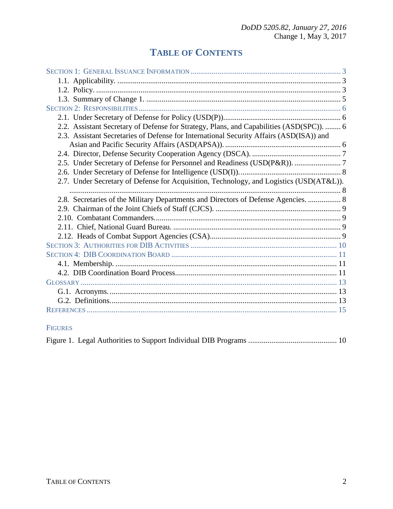## **TABLE OF CONTENTS**

| 2.2. Assistant Secretary of Defense for Strategy, Plans, and Capabilities (ASD(SPC)).  6 |  |
|------------------------------------------------------------------------------------------|--|
| 2.3. Assistant Secretaries of Defense for International Security Affairs (ASD(ISA)) and  |  |
|                                                                                          |  |
|                                                                                          |  |
| 2.5. Under Secretary of Defense for Personnel and Readiness (USD(P&R)).  7               |  |
|                                                                                          |  |
| 2.7. Under Secretary of Defense for Acquisition, Technology, and Logistics (USD(AT&L)).  |  |
|                                                                                          |  |
| 2.8. Secretaries of the Military Departments and Directors of Defense Agencies.  8       |  |
|                                                                                          |  |
|                                                                                          |  |
|                                                                                          |  |
|                                                                                          |  |
|                                                                                          |  |
|                                                                                          |  |
|                                                                                          |  |
|                                                                                          |  |
|                                                                                          |  |
|                                                                                          |  |
|                                                                                          |  |
|                                                                                          |  |

## FIGURES

|--|--|--|--|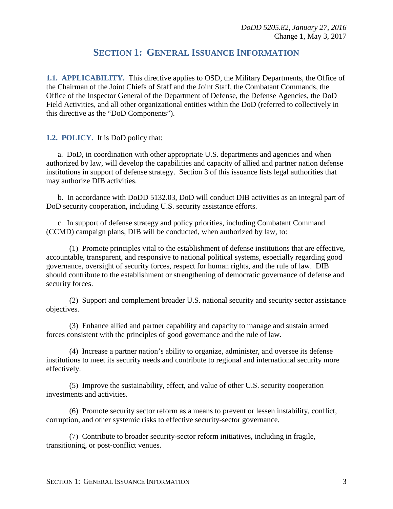## **SECTION 1: GENERAL ISSUANCE INFORMATION**

<span id="page-2-1"></span><span id="page-2-0"></span>**1.1. APPLICABILITY.** This directive applies to OSD, the Military Departments, the Office of the Chairman of the Joint Chiefs of Staff and the Joint Staff, the Combatant Commands, the Office of the Inspector General of the Department of Defense, the Defense Agencies, the DoD Field Activities, and all other organizational entities within the DoD (referred to collectively in this directive as the "DoD Components").

<span id="page-2-2"></span>**1.2. POLICY.** It is DoD policy that:

a. DoD, in coordination with other appropriate U.S. departments and agencies and when authorized by law, will develop the capabilities and capacity of allied and partner nation defense institutions in support of defense strategy. Section 3 of this issuance lists legal authorities that may authorize DIB activities.

b. In accordance with DoDD 5132.03, DoD will conduct DIB activities as an integral part of DoD security cooperation, including U.S. security assistance efforts.

c. In support of defense strategy and policy priorities, including Combatant Command (CCMD) campaign plans, DIB will be conducted, when authorized by law, to:

(1) Promote principles vital to the establishment of defense institutions that are effective, accountable, transparent, and responsive to national political systems, especially regarding good governance, oversight of security forces, respect for human rights, and the rule of law. DIB should contribute to the establishment or strengthening of democratic governance of defense and security forces.

(2) Support and complement broader U.S. national security and security sector assistance objectives.

(3) Enhance allied and partner capability and capacity to manage and sustain armed forces consistent with the principles of good governance and the rule of law.

(4) Increase a partner nation's ability to organize, administer, and oversee its defense institutions to meet its security needs and contribute to regional and international security more effectively.

(5) Improve the sustainability, effect, and value of other U.S. security cooperation investments and activities.

(6) Promote security sector reform as a means to prevent or lessen instability, conflict, corruption, and other systemic risks to effective security-sector governance.

(7) Contribute to broader security-sector reform initiatives, including in fragile, transitioning, or post-conflict venues.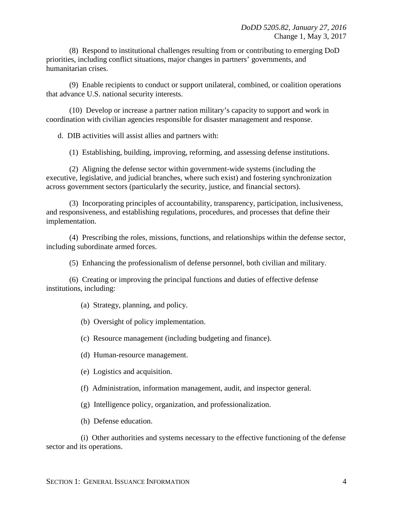(8) Respond to institutional challenges resulting from or contributing to emerging DoD priorities, including conflict situations, major changes in partners' governments, and humanitarian crises.

(9) Enable recipients to conduct or support unilateral, combined, or coalition operations that advance U.S. national security interests.

(10) Develop or increase a partner nation military's capacity to support and work in coordination with civilian agencies responsible for disaster management and response.

d. DIB activities will assist allies and partners with:

(1) Establishing, building, improving, reforming, and assessing defense institutions.

(2) Aligning the defense sector within government-wide systems (including the executive, legislative, and judicial branches, where such exist) and fostering synchronization across government sectors (particularly the security, justice, and financial sectors).

(3) Incorporating principles of accountability, transparency, participation, inclusiveness, and responsiveness, and establishing regulations, procedures, and processes that define their implementation.

(4) Prescribing the roles, missions, functions, and relationships within the defense sector, including subordinate armed forces.

(5) Enhancing the professionalism of defense personnel, both civilian and military.

(6) Creating or improving the principal functions and duties of effective defense institutions, including:

(a) Strategy, planning, and policy.

(b) Oversight of policy implementation.

(c) Resource management (including budgeting and finance).

(d) Human-resource management.

(e) Logistics and acquisition.

- (f) Administration, information management, audit, and inspector general.
- (g) Intelligence policy, organization, and professionalization.
- (h) Defense education.

(i) Other authorities and systems necessary to the effective functioning of the defense sector and its operations.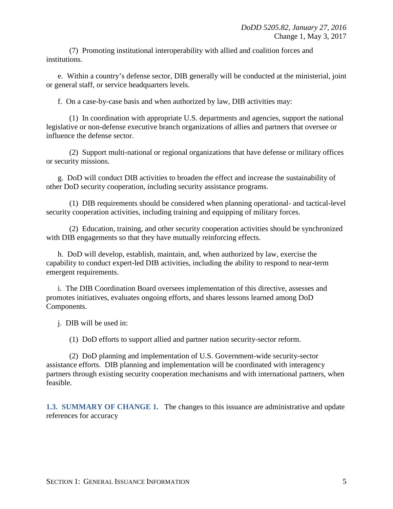(7) Promoting institutional interoperability with allied and coalition forces and institutions.

e. Within a country's defense sector, DIB generally will be conducted at the ministerial, joint or general staff, or service headquarters levels.

f. On a case-by-case basis and when authorized by law, DIB activities may:

(1) In coordination with appropriate U.S. departments and agencies, support the national legislative or non-defense executive branch organizations of allies and partners that oversee or influence the defense sector.

(2) Support multi-national or regional organizations that have defense or military offices or security missions.

g. DoD will conduct DIB activities to broaden the effect and increase the sustainability of other DoD security cooperation, including security assistance programs.

(1) DIB requirements should be considered when planning operational- and tactical-level security cooperation activities, including training and equipping of military forces.

(2) Education, training, and other security cooperation activities should be synchronized with DIB engagements so that they have mutually reinforcing effects.

h. DoD will develop, establish, maintain, and, when authorized by law, exercise the capability to conduct expert-led DIB activities, including the ability to respond to near-term emergent requirements.

i. The DIB Coordination Board oversees implementation of this directive, assesses and promotes initiatives, evaluates ongoing efforts, and shares lessons learned among DoD Components.

j. DIB will be used in:

(1) DoD efforts to support allied and partner nation security-sector reform.

(2) DoD planning and implementation of U.S. Government-wide security-sector assistance efforts. DIB planning and implementation will be coordinated with interagency partners through existing security cooperation mechanisms and with international partners, when feasible.

<span id="page-4-0"></span>**1.3. SUMMARY OF CHANGE 1.** The changes to this issuance are administrative and update references for accuracy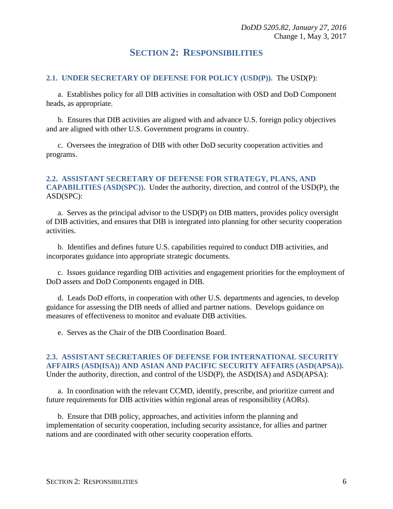## **SECTION 2: RESPONSIBILITIES**

#### <span id="page-5-1"></span><span id="page-5-0"></span>**2.1. UNDER SECRETARY OF DEFENSE FOR POLICY (USD(P)).** The USD(P):

a. Establishes policy for all DIB activities in consultation with OSD and DoD Component heads, as appropriate.

b. Ensures that DIB activities are aligned with and advance U.S. foreign policy objectives and are aligned with other U.S. Government programs in country.

c. Oversees the integration of DIB with other DoD security cooperation activities and programs.

#### <span id="page-5-2"></span>**2.2. ASSISTANT SECRETARY OF DEFENSE FOR STRATEGY, PLANS, AND CAPABILITIES (ASD(SPC)).** Under the authority, direction, and control of the USD(P), the ASD(SPC):

a. Serves as the principal advisor to the USD(P) on DIB matters, provides policy oversight of DIB activities, and ensures that DIB is integrated into planning for other security cooperation activities.

b. Identifies and defines future U.S. capabilities required to conduct DIB activities, and incorporates guidance into appropriate strategic documents.

c. Issues guidance regarding DIB activities and engagement priorities for the employment of DoD assets and DoD Components engaged in DIB.

d. Leads DoD efforts, in cooperation with other U.S. departments and agencies, to develop guidance for assessing the DIB needs of allied and partner nations. Develops guidance on measures of effectiveness to monitor and evaluate DIB activities.

e. Serves as the Chair of the DIB Coordination Board.

#### <span id="page-5-3"></span>**2.3. ASSISTANT SECRETARIES OF DEFENSE FOR INTERNATIONAL SECURITY AFFAIRS (ASD(ISA)) AND ASIAN AND PACIFIC SECURITY AFFAIRS (ASD(APSA)).** Under the authority, direction, and control of the USD(P), the ASD(ISA) and ASD(APSA):

a. In coordination with the relevant CCMD, identify, prescribe, and prioritize current and future requirements for DIB activities within regional areas of responsibility (AORs).

b. Ensure that DIB policy, approaches, and activities inform the planning and implementation of security cooperation, including security assistance, for allies and partner nations and are coordinated with other security cooperation efforts.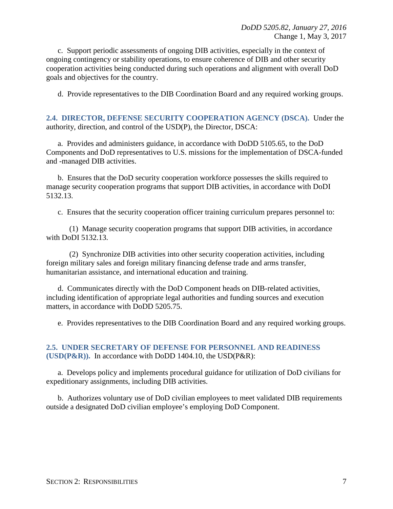c. Support periodic assessments of ongoing DIB activities, especially in the context of ongoing contingency or stability operations, to ensure coherence of DIB and other security cooperation activities being conducted during such operations and alignment with overall DoD goals and objectives for the country.

d. Provide representatives to the DIB Coordination Board and any required working groups.

<span id="page-6-0"></span>**2.4. DIRECTOR, DEFENSE SECURITY COOPERATION AGENCY (DSCA).** Under the authority, direction, and control of the USD(P), the Director, DSCA:

a. Provides and administers guidance, in accordance with DoDD 5105.65, to the DoD Components and DoD representatives to U.S. missions for the implementation of DSCA-funded and -managed DIB activities.

b. Ensures that the DoD security cooperation workforce possesses the skills required to manage security cooperation programs that support DIB activities, in accordance with DoDI 5132.13.

c. Ensures that the security cooperation officer training curriculum prepares personnel to:

(1) Manage security cooperation programs that support DIB activities, in accordance with DoDI 5132.13.

(2) Synchronize DIB activities into other security cooperation activities, including foreign military sales and foreign military financing defense trade and arms transfer, humanitarian assistance, and international education and training.

d. Communicates directly with the DoD Component heads on DIB-related activities, including identification of appropriate legal authorities and funding sources and execution matters, in accordance with DoDD 5205.75.

e. Provides representatives to the DIB Coordination Board and any required working groups.

#### <span id="page-6-1"></span>**2.5. UNDER SECRETARY OF DEFENSE FOR PERSONNEL AND READINESS (USD(P&R)).** In accordance with DoDD 1404.10, the USD(P&R):

a. Develops policy and implements procedural guidance for utilization of DoD civilians for expeditionary assignments, including DIB activities.

b. Authorizes voluntary use of DoD civilian employees to meet validated DIB requirements outside a designated DoD civilian employee's employing DoD Component.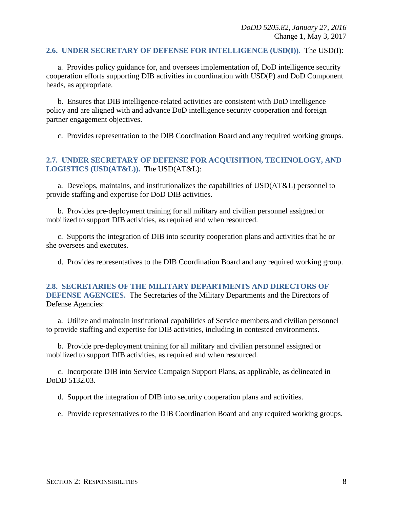#### <span id="page-7-0"></span>**2.6. UNDER SECRETARY OF DEFENSE FOR INTELLIGENCE (USD(I)).** The USD(I):

a. Provides policy guidance for, and oversees implementation of, DoD intelligence security cooperation efforts supporting DIB activities in coordination with USD(P) and DoD Component heads, as appropriate.

b. Ensures that DIB intelligence-related activities are consistent with DoD intelligence policy and are aligned with and advance DoD intelligence security cooperation and foreign partner engagement objectives.

c. Provides representation to the DIB Coordination Board and any required working groups.

#### <span id="page-7-1"></span>**2.7. UNDER SECRETARY OF DEFENSE FOR ACQUISITION, TECHNOLOGY, AND LOGISTICS (USD(AT&L)).** The USD(AT&L):

a. Develops, maintains, and institutionalizes the capabilities of USD(AT&L) personnel to provide staffing and expertise for DoD DIB activities.

b. Provides pre-deployment training for all military and civilian personnel assigned or mobilized to support DIB activities, as required and when resourced.

c. Supports the integration of DIB into security cooperation plans and activities that he or she oversees and executes.

d. Provides representatives to the DIB Coordination Board and any required working group.

#### <span id="page-7-2"></span>**2.8. SECRETARIES OF THE MILITARY DEPARTMENTS AND DIRECTORS OF DEFENSE AGENCIES.** The Secretaries of the Military Departments and the Directors of Defense Agencies:

a. Utilize and maintain institutional capabilities of Service members and civilian personnel to provide staffing and expertise for DIB activities, including in contested environments.

b. Provide pre-deployment training for all military and civilian personnel assigned or mobilized to support DIB activities, as required and when resourced.

c. Incorporate DIB into Service Campaign Support Plans, as applicable, as delineated in DoDD 5132.03.

d. Support the integration of DIB into security cooperation plans and activities.

e. Provide representatives to the DIB Coordination Board and any required working groups.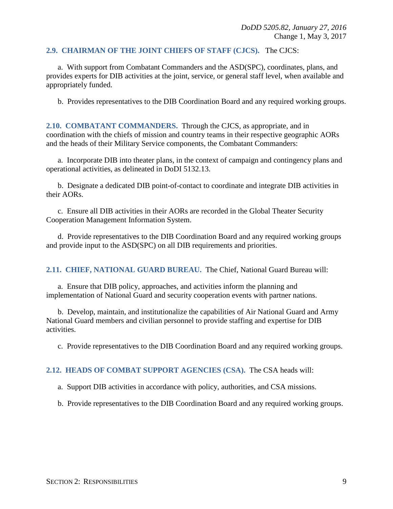#### <span id="page-8-0"></span>**2.9. CHAIRMAN OF THE JOINT CHIEFS OF STAFF (CJCS).** The CJCS:

a. With support from Combatant Commanders and the ASD(SPC), coordinates, plans, and provides experts for DIB activities at the joint, service, or general staff level, when available and appropriately funded.

b. Provides representatives to the DIB Coordination Board and any required working groups.

<span id="page-8-1"></span>**2.10. COMBATANT COMMANDERS.** Through the CJCS, as appropriate, and in coordination with the chiefs of mission and country teams in their respective geographic AORs and the heads of their Military Service components, the Combatant Commanders:

a. Incorporate DIB into theater plans, in the context of campaign and contingency plans and operational activities, as delineated in DoDI 5132.13.

b. Designate a dedicated DIB point-of-contact to coordinate and integrate DIB activities in their AORs.

c. Ensure all DIB activities in their AORs are recorded in the Global Theater Security Cooperation Management Information System.

d. Provide representatives to the DIB Coordination Board and any required working groups and provide input to the ASD(SPC) on all DIB requirements and priorities.

<span id="page-8-2"></span>**2.11. CHIEF, NATIONAL GUARD BUREAU.** The Chief, National Guard Bureau will:

a. Ensure that DIB policy, approaches, and activities inform the planning and implementation of National Guard and security cooperation events with partner nations.

b. Develop, maintain, and institutionalize the capabilities of Air National Guard and Army National Guard members and civilian personnel to provide staffing and expertise for DIB activities.

c. Provide representatives to the DIB Coordination Board and any required working groups.

#### <span id="page-8-3"></span>**2.12. HEADS OF COMBAT SUPPORT AGENCIES (CSA).** The CSA heads will:

a. Support DIB activities in accordance with policy, authorities, and CSA missions.

b. Provide representatives to the DIB Coordination Board and any required working groups.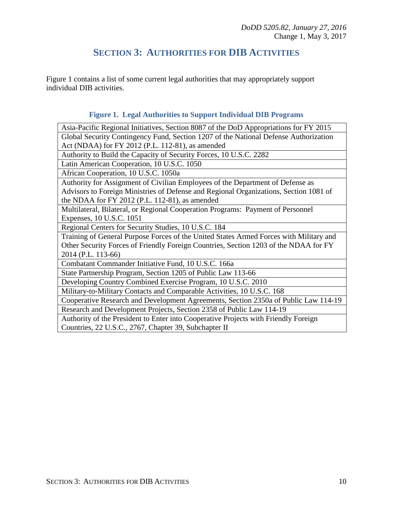## **SECTION 3: AUTHORITIES FOR DIB ACTIVITIES**

<span id="page-9-0"></span>Figure 1 contains a list of some current legal authorities that may appropriately support individual DIB activities.

#### **Figure 1. Legal Authorities to Support Individual DIB Programs**

Asia-Pacific Regional Initiatives, Section 8087 of the DoD Appropriations for FY 2015 Global Security Contingency Fund, Section 1207 of the National Defense Authorization Act (NDAA) for FY 2012 (P.L. 112-81), as amended

Authority to Build the Capacity of Security Forces, 10 U.S.C. 2282

Latin American Cooperation, 10 U.S.C. 1050

African Cooperation, 10 U.S.C. 1050a

Authority for Assignment of Civilian Employees of the Department of Defense as Advisors to Foreign Ministries of Defense and Regional Organizations, Section 1081 of the NDAA for FY 2012 (P.L. 112-81), as amended

Multilateral, Bilateral, or Regional Cooperation Programs: Payment of Personnel Expenses, 10 U.S.C. 1051

Regional Centers for Security Studies, 10 U.S.C. 184

Training of General Purpose Forces of the United States Armed Forces with Military and Other Security Forces of Friendly Foreign Countries, Section 1203 of the NDAA for FY 2014 (P.L. 113-66)

Combatant Commander Initiative Fund, 10 U.S.C. 166a

State Partnership Program, Section 1205 of Public Law 113-66

Developing Country Combined Exercise Program, 10 U.S.C. 2010

Military-to-Military Contacts and Comparable Activities, 10 U.S.C. 168

Cooperative Research and Development Agreements, Section 2350a of Public Law 114-19 Research and Development Projects, Section 2358 of Public Law 114-19

Authority of the President to Enter into Cooperative Projects with Friendly Foreign Countries, 22 U.S.C., 2767, Chapter 39, Subchapter II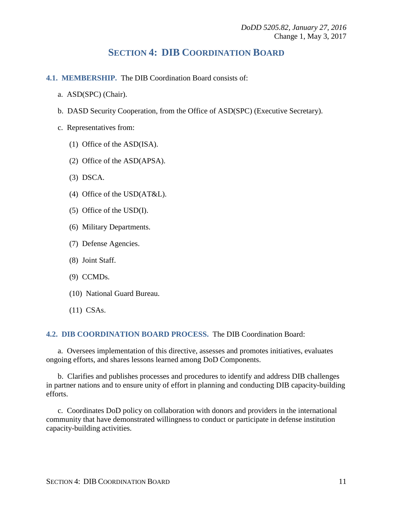## **SECTION 4: DIB COORDINATION BOARD**

- <span id="page-10-1"></span><span id="page-10-0"></span>**4.1. MEMBERSHIP.** The DIB Coordination Board consists of:
	- a. ASD(SPC) (Chair).
	- b. DASD Security Cooperation, from the Office of ASD(SPC) (Executive Secretary).
	- c. Representatives from:
		- (1) Office of the ASD(ISA).
		- (2) Office of the ASD(APSA).
		- (3) DSCA.
		- (4) Office of the USD(AT&L).
		- (5) Office of the USD(I).
		- (6) Military Departments.
		- (7) Defense Agencies.
		- (8) Joint Staff.
		- (9) CCMDs.
		- (10) National Guard Bureau.
		- (11) CSAs.

#### <span id="page-10-2"></span>**4.2. DIB COORDINATION BOARD PROCESS.** The DIB Coordination Board:

a. Oversees implementation of this directive, assesses and promotes initiatives, evaluates ongoing efforts, and shares lessons learned among DoD Components.

b. Clarifies and publishes processes and procedures to identify and address DIB challenges in partner nations and to ensure unity of effort in planning and conducting DIB capacity-building efforts.

c. Coordinates DoD policy on collaboration with donors and providers in the international community that have demonstrated willingness to conduct or participate in defense institution capacity-building activities.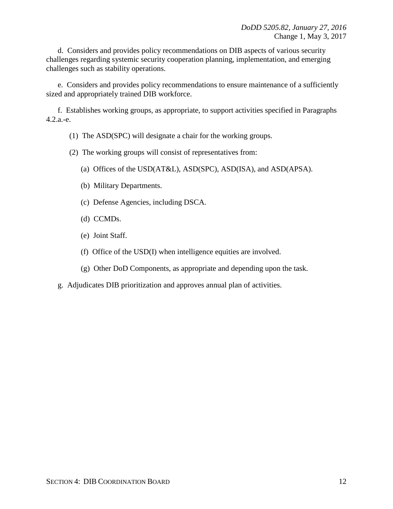d. Considers and provides policy recommendations on DIB aspects of various security challenges regarding systemic security cooperation planning, implementation, and emerging challenges such as stability operations.

e. Considers and provides policy recommendations to ensure maintenance of a sufficiently sized and appropriately trained DIB workforce.

f. Establishes working groups, as appropriate, to support activities specified in Paragraphs 4.2.a.-e.

- (1) The ASD(SPC) will designate a chair for the working groups.
- (2) The working groups will consist of representatives from:
	- (a) Offices of the USD(AT&L), ASD(SPC), ASD(ISA), and ASD(APSA).
	- (b) Military Departments.
	- (c) Defense Agencies, including DSCA.
	- (d) CCMDs.
	- (e) Joint Staff.
	- (f) Office of the USD(I) when intelligence equities are involved.
	- (g) Other DoD Components, as appropriate and depending upon the task.
- g. Adjudicates DIB prioritization and approves annual plan of activities.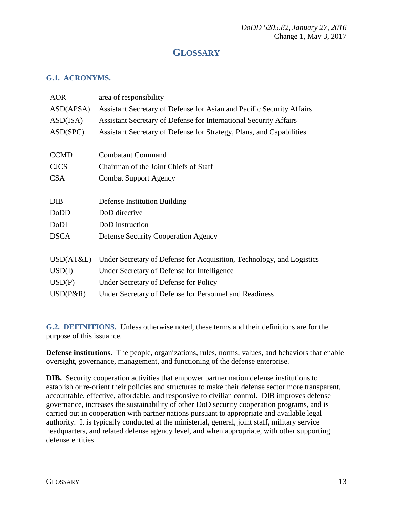## **GLOSSARY**

#### <span id="page-12-1"></span><span id="page-12-0"></span>**G.1. ACRONYMS.**

| <b>AOR</b>  | area of responsibility                                                |
|-------------|-----------------------------------------------------------------------|
| ASD(APSA)   | Assistant Secretary of Defense for Asian and Pacific Security Affairs |
| ASD(ISA)    | Assistant Secretary of Defense for International Security Affairs     |
| ASD(SPC)    | Assistant Secretary of Defense for Strategy, Plans, and Capabilities  |
|             |                                                                       |
| <b>CCMD</b> | <b>Combatant Command</b>                                              |
| <b>CJCS</b> | Chairman of the Joint Chiefs of Staff                                 |
| <b>CSA</b>  | <b>Combat Support Agency</b>                                          |
|             |                                                                       |
| <b>DIB</b>  | Defense Institution Building                                          |
|             |                                                                       |
| DoDD        | DoD directive                                                         |
| DoDI        | DoD instruction                                                       |
| <b>DSCA</b> | <b>Defense Security Cooperation Agency</b>                            |
|             |                                                                       |
| USD(AT&L)   | Under Secretary of Defense for Acquisition, Technology, and Logistics |
| USD(I)      | Under Secretary of Defense for Intelligence                           |
| USD(P)      | Under Secretary of Defense for Policy                                 |

<span id="page-12-2"></span>**G.2. DEFINITIONS.** Unless otherwise noted, these terms and their definitions are for the purpose of this issuance.

**Defense institutions.** The people, organizations, rules, norms, values, and behaviors that enable oversight, governance, management, and functioning of the defense enterprise.

**DIB.** Security cooperation activities that empower partner nation defense institutions to establish or re-orient their policies and structures to make their defense sector more transparent, accountable, effective, affordable, and responsive to civilian control. DIB improves defense governance, increases the sustainability of other DoD security cooperation programs, and is carried out in cooperation with partner nations pursuant to appropriate and available legal authority. It is typically conducted at the ministerial, general, joint staff, military service headquarters, and related defense agency level, and when appropriate, with other supporting defense entities.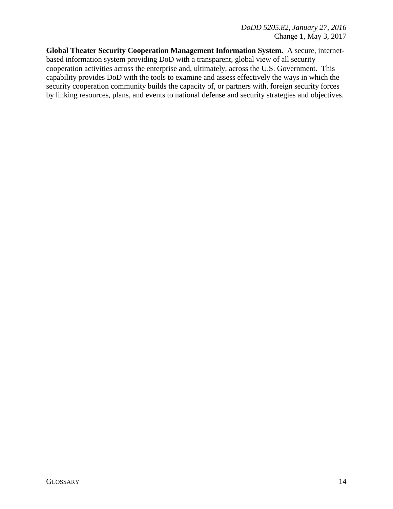**Global Theater Security Cooperation Management Information System.** A secure, internetbased information system providing DoD with a transparent, global view of all security cooperation activities across the enterprise and, ultimately, across the U.S. Government. This capability provides DoD with the tools to examine and assess effectively the ways in which the security cooperation community builds the capacity of, or partners with, foreign security forces by linking resources, plans, and events to national defense and security strategies and objectives.